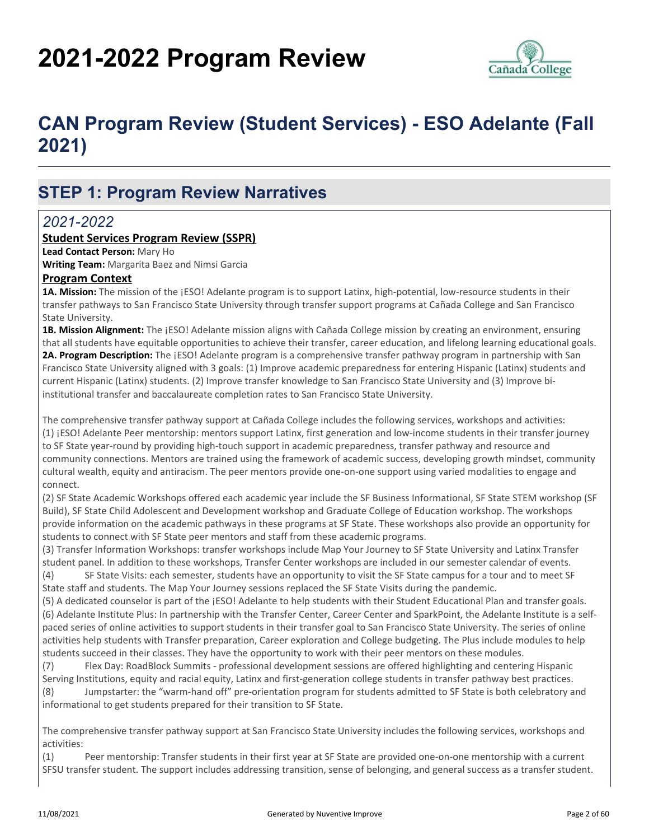# **2021-2022 Program Review**



# **CAN Program Review (Student Services) - ESO Adelante (Fall 2021)**

### **STEP 1: Program Review Narratives**

### *2021-2022*

#### **Student Services Program Review (SSPR)**

**Lead Contact Person:** Mary Ho

**Writing Team:** Margarita Baez and Nimsi Garcia

#### **Program Context**

**1A. Mission:** The mission of the ¡ESO! Adelante program is to support Latinx, high-potential, low-resource students in their transfer pathways to San Francisco State University through transfer support programs at Cañada College and San Francisco State University.

**1B. Mission Alignment:** The ¡ESO! Adelante mission aligns with Cañada College mission by creating an environment, ensuring that all students have equitable opportunities to achieve their transfer, career education, and lifelong learning educational goals. **2A. Program Description:** The ¡ESO! Adelante program is a comprehensive transfer pathway program in partnership with San Francisco State University aligned with 3 goals: (1) Improve academic preparedness for entering Hispanic (Latinx) students and current Hispanic (Latinx) students. (2) Improve transfer knowledge to San Francisco State University and (3) Improve biinstitutional transfer and baccalaureate completion rates to San Francisco State University.

The comprehensive transfer pathway support at Cañada College includes the following services, workshops and activities: (1) ¡ESO! Adelante Peer mentorship: mentors support Latinx, first generation and low-income students in their transfer journey to SF State year-round by providing high-touch support in academic preparedness, transfer pathway and resource and community connections. Mentors are trained using the framework of academic success, developing growth mindset, community cultural wealth, equity and antiracism. The peer mentors provide one-on-one support using varied modalities to engage and connect.

(2) SF State Academic Workshops offered each academic year include the SF Business Informational, SF State STEM workshop (SF Build), SF State Child Adolescent and Development workshop and Graduate College of Education workshop. The workshops provide information on the academic pathways in these programs at SF State. These workshops also provide an opportunity for students to connect with SF State peer mentors and staff from these academic programs.

(3) Transfer Information Workshops: transfer workshops include Map Your Journey to SF State University and Latinx Transfer student panel. In addition to these workshops, Transfer Center workshops are included in our semester calendar of events. (4) SF State Visits: each semester, students have an opportunity to visit the SF State campus for a tour and to meet SF

State staff and students. The Map Your Journey sessions replaced the SF State Visits during the pandemic.

(5) A dedicated counselor is part of the ¡ESO! Adelante to help students with their Student Educational Plan and transfer goals. (6) Adelante Institute Plus: In partnership with the Transfer Center, Career Center and SparkPoint, the Adelante Institute is a selfpaced series of online activities to support students in their transfer goal to San Francisco State University. The series of online activities help students with Transfer preparation, Career exploration and College budgeting. The Plus include modules to help students succeed in their classes. They have the opportunity to work with their peer mentors on these modules.

(7) Flex Day: RoadBlock Summits - professional development sessions are offered highlighting and centering Hispanic Serving Institutions, equity and racial equity, Latinx and first-generation college students in transfer pathway best practices. (8) Jumpstarter: the "warm-hand off" pre-orientation program for students admitted to SF State is both celebratory and informational to get students prepared for their transition to SF State.

The comprehensive transfer pathway support at San Francisco State University includes the following services, workshops and activities:

(1) Peer mentorship: Transfer students in their first year at SF State are provided one-on-one mentorship with a current SFSU transfer student. The support includes addressing transition, sense of belonging, and general success as a transfer student.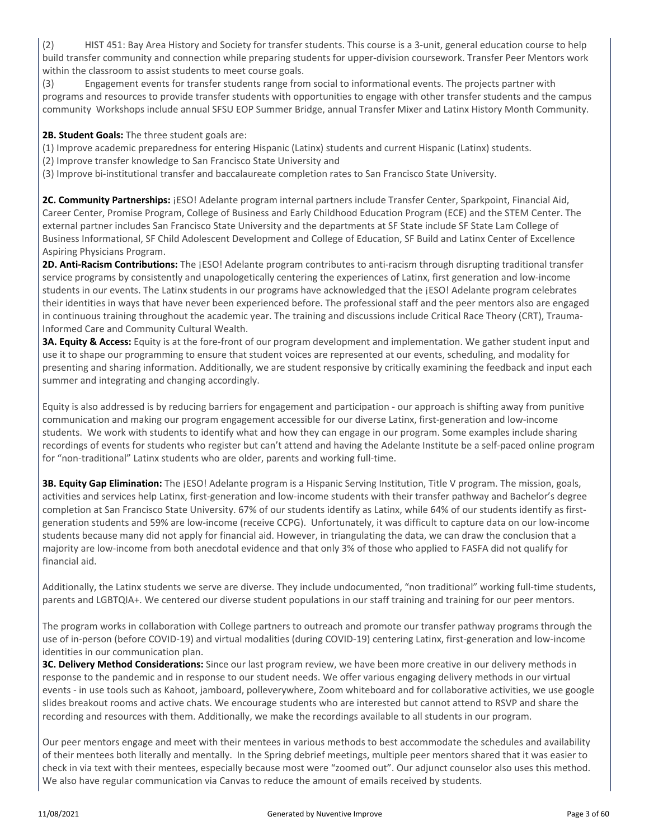(2) HIST 451: Bay Area History and Society for transfer students. This course is a 3-unit, general education course to help build transfer community and connection while preparing students for upper-division coursework. Transfer Peer Mentors work within the classroom to assist students to meet course goals.

(3) Engagement events for transfer students range from social to informational events. The projects partner with programs and resources to provide transfer students with opportunities to engage with other transfer students and the campus community Workshops include annual SFSU EOP Summer Bridge, annual Transfer Mixer and Latinx History Month Community.

#### 2B. Student Goals: The three student goals are:

- (1) Improve academic preparedness for entering Hispanic (Latinx) students and current Hispanic (Latinx) students.
- (2) Improve transfer knowledge to San Francisco State University and
- (3) Improve bi-institutional transfer and baccalaureate completion rates to San Francisco State University.

**2C. Community Partnerships:** ¡ESO! Adelante program internal partners include Transfer Center, Sparkpoint, Financial Aid, Career Center, Promise Program, College of Business and Early Childhood Education Program (ECE) and the STEM Center. The external partner includes San Francisco State University and the departments at SF State include SF State Lam College of Business Informational, SF Child Adolescent Development and College of Education, SF Build and Latinx Center of Excellence Aspiring Physicians Program.

**2D. Anti-Racism Contributions:** The ¡ESO! Adelante program contributes to anti-racism through disrupting traditional transfer service programs by consistently and unapologetically centering the experiences of Latinx, first generation and low-income students in our events. The Latinx students in our programs have acknowledged that the ¡ESO! Adelante program celebrates their identities in ways that have never been experienced before. The professional staff and the peer mentors also are engaged in continuous training throughout the academic year. The training and discussions include Critical Race Theory (CRT), Trauma-Informed Care and Community Cultural Wealth.

**3A. Equity & Access:** Equity is at the fore-front of our program development and implementation. We gather student input and use it to shape our programming to ensure that student voices are represented at our events, scheduling, and modality for presenting and sharing information. Additionally, we are student responsive by critically examining the feedback and input each summer and integrating and changing accordingly.

Equity is also addressed is by reducing barriers for engagement and participation - our approach is shifting away from punitive communication and making our program engagement accessible for our diverse Latinx, first-generation and low-income students. We work with students to identify what and how they can engage in our program. Some examples include sharing recordings of events for students who register but can't attend and having the Adelante Institute be a self-paced online program for "non-traditional" Latinx students who are older, parents and working full-time.

**3B. Equity Gap Elimination:** The ¡ESO! Adelante program is a Hispanic Serving Institution, Title V program. The mission, goals, activities and services help Latinx, first-generation and low-income students with their transfer pathway and Bachelor's degree completion at San Francisco State University. 67% of our students identify as Latinx, while 64% of our students identify as firstgeneration students and 59% are low-income (receive CCPG). Unfortunately, it was difficult to capture data on our low-income students because many did not apply for financial aid. However, in triangulating the data, we can draw the conclusion that a majority are low-income from both anecdotal evidence and that only 3% of those who applied to FASFA did not qualify for financial aid.

Additionally, the Latinx students we serve are diverse. They include undocumented, "non traditional" working full-time students, parents and LGBTQIA+. We centered our diverse student populations in our staff training and training for our peer mentors.

The program works in collaboration with College partners to outreach and promote our transfer pathway programs through the use of in-person (before COVID-19) and virtual modalities (during COVID-19) centering Latinx, first-generation and low-income identities in our communication plan.

**3C. Delivery Method Considerations:** Since our last program review, we have been more creative in our delivery methods in response to the pandemic and in response to our student needs. We offer various engaging delivery methods in our virtual events - in use tools such as Kahoot, jamboard, polleverywhere, Zoom whiteboard and for collaborative activities, we use google slides breakout rooms and active chats. We encourage students who are interested but cannot attend to RSVP and share the recording and resources with them. Additionally, we make the recordings available to all students in our program.

Our peer mentors engage and meet with their mentees in various methods to best accommodate the schedules and availability of their mentees both literally and mentally. In the Spring debrief meetings, multiple peer mentors shared that it was easier to check in via text with their mentees, especially because most were "zoomed out". Our adjunct counselor also uses this method. We also have regular communication via Canvas to reduce the amount of emails received by students.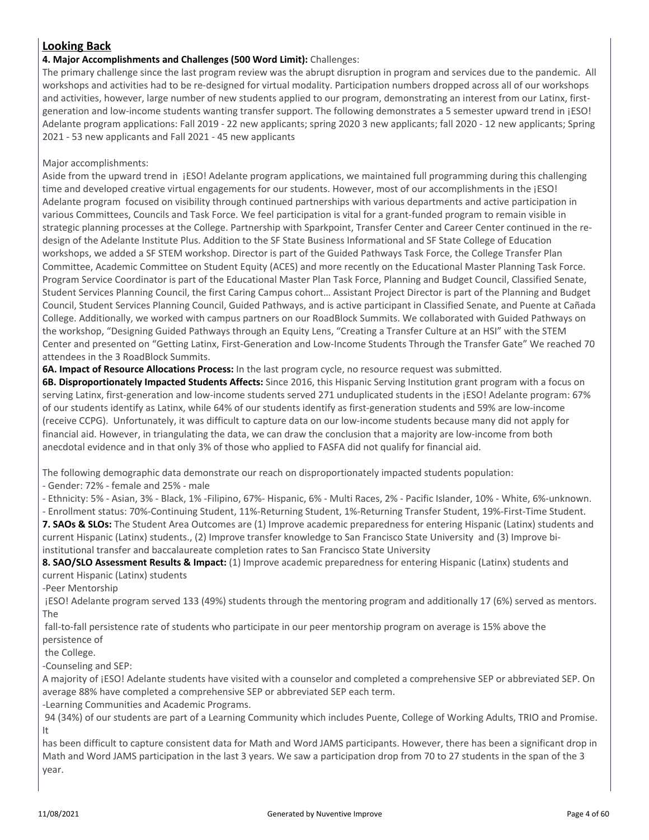### **Looking Back**

#### **4. Major Accomplishments and Challenges (500 Word Limit):** Challenges:

The primary challenge since the last program review was the abrupt disruption in program and services due to the pandemic. All workshops and activities had to be re-designed for virtual modality. Participation numbers dropped across all of our workshops and activities, however, large number of new students applied to our program, demonstrating an interest from our Latinx, firstgeneration and low-income students wanting transfer support. The following demonstrates a 5 semester upward trend in ¡ESO! Adelante program applications: Fall 2019 - 22 new applicants; spring 2020 3 new applicants; fall 2020 - 12 new applicants; Spring 2021 - 53 new applicants and Fall 2021 - 45 new applicants

#### Major accomplishments:

Aside from the upward trend in ¡ESO! Adelante program applications, we maintained full programming during this challenging time and developed creative virtual engagements for our students. However, most of our accomplishments in the  $|ESO|$ Adelante program focused on visibility through continued partnerships with various departments and active participation in various Committees, Councils and Task Force. We feel participation is vital for a grant-funded program to remain visible in strategic planning processes at the College. Partnership with Sparkpoint, Transfer Center and Career Center continued in the redesign of the Adelante Institute Plus. Addition to the SF State Business Informational and SF State College of Education workshops, we added a SF STEM workshop. Director is part of the Guided Pathways Task Force, the College Transfer Plan Committee, Academic Committee on Student Equity (ACES) and more recently on the Educational Master Planning Task Force. Program Service Coordinator is part of the Educational Master Plan Task Force, Planning and Budget Council, Classified Senate, Student Services Planning Council, the first Caring Campus cohort… Assistant Project Director is part of the Planning and Budget Council, Student Services Planning Council, Guided Pathways, and is active participant in Classified Senate, and Puente at Cañada College. Additionally, we worked with campus partners on our RoadBlock Summits. We collaborated with Guided Pathways on the workshop, "Designing Guided Pathways through an Equity Lens, "Creating a Transfer Culture at an HSI" with the STEM Center and presented on "Getting Latinx, First-Generation and Low-Income Students Through the Transfer Gate" We reached 70 attendees in the 3 RoadBlock Summits.

**6A. Impact of Resource Allocations Process:** In the last program cycle, no resource request was submitted.

**6B. Disproportionately Impacted Students Affects:** Since 2016, this Hispanic Serving Institution grant program with a focus on serving Latinx, first-generation and low-income students served 271 unduplicated students in the ¡ESO! Adelante program: 67% of our students identify as Latinx, while 64% of our students identify as first-generation students and 59% are low-income (receive CCPG). Unfortunately, it was difficult to capture data on our low-income students because many did not apply for financial aid. However, in triangulating the data, we can draw the conclusion that a majority are low-income from both anecdotal evidence and in that only 3% of those who applied to FASFA did not qualify for financial aid.

The following demographic data demonstrate our reach on disproportionately impacted students population:

- Gender: 72% - female and 25% - male

- Ethnicity: 5% - Asian, 3% - Black, 1% -Filipino, 67%- Hispanic, 6% - Multi Races, 2% - Pacific Islander, 10% - White, 6%-unknown.

- Enrollment status: 70%-Continuing Student, 11%-Returning Student, 1%-Returning Transfer Student, 19%-First-Time Student. **7. SAOs & SLOs:** The Student Area Outcomes are (1) Improve academic preparedness for entering Hispanic (Latinx) students and current Hispanic (Latinx) students., (2) Improve transfer knowledge to San Francisco State University and (3) Improve biinstitutional transfer and baccalaureate completion rates to San Francisco State University

**8. SAO/SLO Assessment Results & Impact:** (1) Improve academic preparedness for entering Hispanic (Latinx) students and current Hispanic (Latinx) students

-Peer Mentorship

 ¡ESO! Adelante program served 133 (49%) students through the mentoring program and additionally 17 (6%) served as mentors. The

 fall-to-fall persistence rate of students who participate in our peer mentorship program on average is 15% above the persistence of

the College.

-Counseling and SEP:

A majority of [ESO! Adelante students have visited with a counselor and completed a comprehensive SEP or abbreviated SEP. On average 88% have completed a comprehensive SEP or abbreviated SEP each term.

-Learning Communities and Academic Programs.

 94 (34%) of our students are part of a Learning Community which includes Puente, College of Working Adults, TRIO and Promise. It

has been difficult to capture consistent data for Math and Word JAMS participants. However, there has been a significant drop in Math and Word JAMS participation in the last 3 years. We saw a participation drop from 70 to 27 students in the span of the 3 year.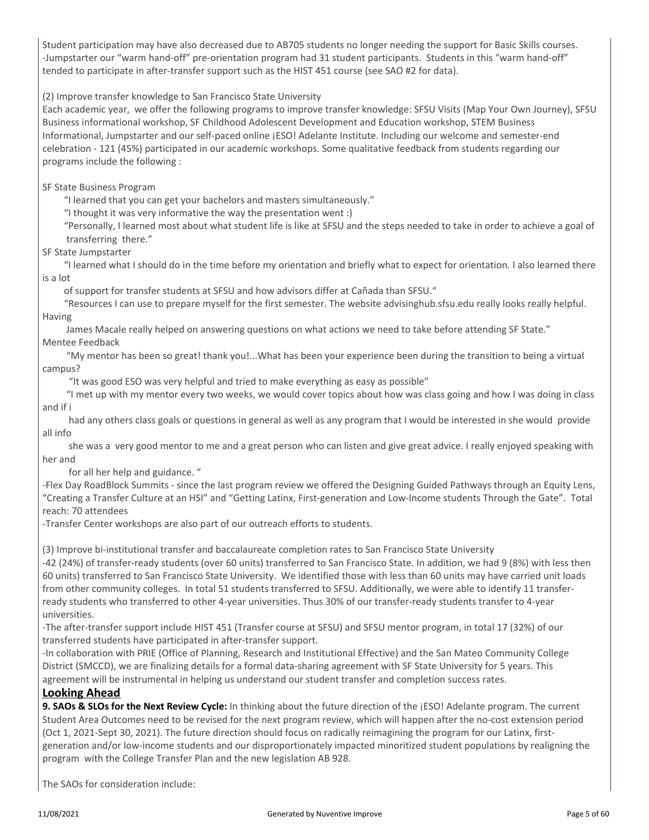Student participation may have also decreased due to AB705 students no longer needing the support for Basic Skills courses. -Jumpstarter our "warm hand-off" pre-orientation program had 31 student participants. Students in this "warm hand-off" tended to participate in after-transfer support such as the HIST 451 course (see SAO #2 for data).

(2) Improve transfer knowledge to San Francisco State University

Each academic year, we offer the following programs to improve transfer knowledge: SFSU Visits (Map Your Own Journey), SFSU Business informational workshop, SF Childhood Adolescent Development and Education workshop, STEM Business Informational, Jumpstarter and our self-paced online ¡ESO! Adelante Institute. Including our welcome and semester-end celebration - 121 (45%) participated in our academic workshops. Some qualitative feedback from students regarding our programs include the following :

SF State Business Program

"I learned that you can get your bachelors and masters simultaneously."

"I thought it was very informative the way the presentation went :)

 "Personally, I learned most about what student life is like at SFSU and the steps needed to take in order to achieve a goal of transferring there."

SF State Jumpstarter

 "I learned what I should do in the time before my orientation and briefly what to expect for orientation. I also learned there is a lot

of support for transfer students at SFSU and how advisors differ at Cañada than SFSU."

 "Resources I can use to prepare myself for the first semester. The website advisinghub.sfsu.edu really looks really helpful. Having

James Macale really helped on answering questions on what actions we need to take before attending SF State."

Mentee Feedback

 "My mentor has been so great! thank you!...What has been your experience been during the transition to being a virtual campus?

"It was good ESO was very helpful and tried to make everything as easy as possible"

 "I met up with my mentor every two weeks, we would cover topics about how was class going and how I was doing in class and if i

 had any others class goals or questions in general as well as any program that I would be interested in she would provide all info

 she was a very good mentor to me and a great person who can listen and give great advice. I really enjoyed speaking with her and

for all her help and guidance. "

-Flex Day RoadBlock Summits - since the last program review we offered the Designing Guided Pathways through an Equity Lens, "Creating a Transfer Culture at an HSI" and "Getting Latinx, First-generation and Low-Income students Through the Gate". Total reach: 70 attendees

-Transfer Center workshops are also part of our outreach efforts to students.

(3) Improve bi-institutional transfer and baccalaureate completion rates to San Francisco State University

-42 (24%) of transfer-ready students (over 60 units) transferred to San Francisco State. In addition, we had 9 (8%) with less then 60 units) transferred to San Francisco State University. We identified those with less than 60 units may have carried unit loads from other community colleges. In total 51 students transferred to SFSU. Additionally, we were able to identify 11 transferready students who transferred to other 4-year universities. Thus 30% of our transfer-ready students transfer to 4-year universities.

-The after-transfer support include HIST 451 (Transfer course at SFSU) and SFSU mentor program, in total 17 (32%) of our transferred students have participated in after-transfer support.

-In collaboration with PRIE (Office of Planning, Research and Institutional Effective) and the San Mateo Community College District (SMCCD), we are finalizing details for a formal data-sharing agreement with SF State University for 5 years. This agreement will be instrumental in helping us understand our student transfer and completion success rates.

#### **Looking Ahead**

**9. SAOs & SLOs for the Next Review Cycle:** In thinking about the future direction of the ¡ESO! Adelante program. The current Student Area Outcomes need to be revised for the next program review, which will happen after the no-cost extension period (Oct 1, 2021-Sept 30, 2021). The future direction should focus on radically reimagining the program for our Latinx, firstgeneration and/or low-income students and our disproportionately impacted minoritized student populations by realigning the program with the College Transfer Plan and the new legislation AB 928.

The SAOs for consideration include: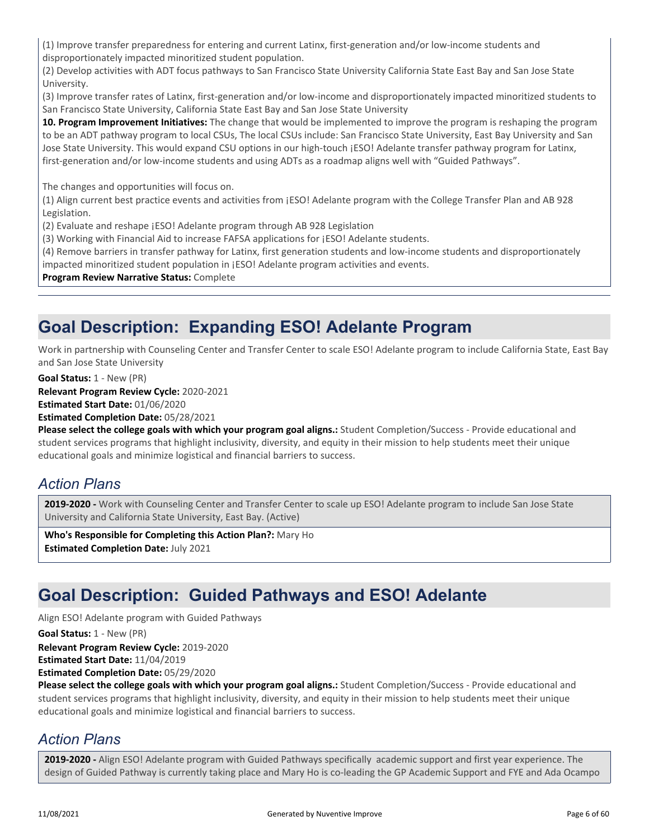(1) Improve transfer preparedness for entering and current Latinx, first-generation and/or low-income students and disproportionately impacted minoritized student population.

(2) Develop activities with ADT focus pathways to San Francisco State University California State East Bay and San Jose State University.

(3) Improve transfer rates of Latinx, first-generation and/or low-income and disproportionately impacted minoritized students to San Francisco State University, California State East Bay and San Jose State University

**10. Program Improvement Initiatives:** The change that would be implemented to improve the program is reshaping the program to be an ADT pathway program to local CSUs, The local CSUs include: San Francisco State University, East Bay University and San Jose State University. This would expand CSU options in our high-touch [ESO! Adelante transfer pathway program for Latinx, first-generation and/or low-income students and using ADTs as a roadmap aligns well with "Guided Pathways".

The changes and opportunities will focus on.

(1) Align current best practice events and activities from ¡ESO! Adelante program with the College Transfer Plan and AB 928 Legislation.

(2) Evaluate and reshape ¡ESO! Adelante program through AB 928 Legislation

(3) Working with Financial Aid to increase FAFSA applications for ¡ESO! Adelante students.

(4) Remove barriers in transfer pathway for Latinx, first generation students and low-income students and disproportionately

impacted minoritized student population in ¡ESO! Adelante program activities and events.

#### **Program Review Narrative Status:** Complete

# **Goal Description: Expanding ESO! Adelante Program**

Work in partnership with Counseling Center and Transfer Center to scale ESO! Adelante program to include California State, East Bay and San Jose State University

**Goal Status:** 1 - New (PR)

**Relevant Program Review Cycle:** 2020-2021

**Estimated Start Date:** 01/06/2020

**Estimated Completion Date:** 05/28/2021

**Please select the college goals with which your program goal aligns.:** Student Completion/Success - Provide educational and student services programs that highlight inclusivity, diversity, and equity in their mission to help students meet their unique educational goals and minimize logistical and financial barriers to success.

### *Action Plans*

**2019-2020 -** Work with Counseling Center and Transfer Center to scale up ESO! Adelante program to include San Jose State University and California State University, East Bay. (Active)

**Who's Responsible for Completing this Action Plan?:** Mary Ho **Estimated Completion Date:** July 2021

# **Goal Description: Guided Pathways and ESO! Adelante**

Align ESO! Adelante program with Guided Pathways

**Relevant Program Review Cycle:** 2019-2020 **Estimated Start Date:** 11/04/2019 **Goal Status:** 1 - New (PR)

**Estimated Completion Date:** 05/29/2020

**Please select the college goals with which your program goal aligns.:** Student Completion/Success - Provide educational and student services programs that highlight inclusivity, diversity, and equity in their mission to help students meet their unique educational goals and minimize logistical and financial barriers to success.

### *Action Plans*

**2019-2020 -** Align ESO! Adelante program with Guided Pathways specifically academic support and first year experience. The design of Guided Pathway is currently taking place and Mary Ho is co-leading the GP Academic Support and FYE and Ada Ocampo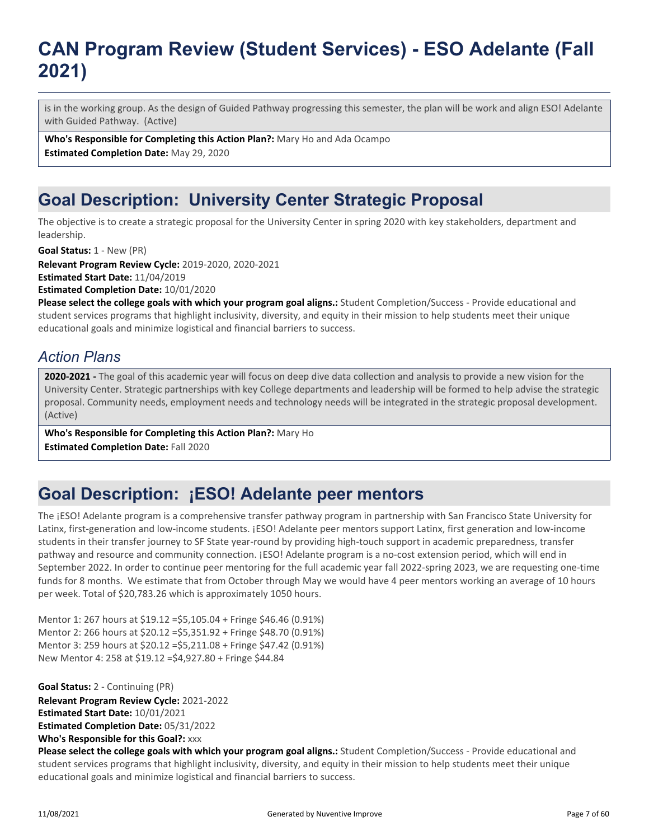# **CAN Program Review (Student Services) - ESO Adelante (Fall 2021)**

is in the working group. As the design of Guided Pathway progressing this semester, the plan will be work and align ESO! Adelante with Guided Pathway. (Active)

**Who's Responsible for Completing this Action Plan?:** Mary Ho and Ada Ocampo

**Estimated Completion Date:** May 29, 2020

# **Goal Description: University Center Strategic Proposal**

The objective is to create a strategic proposal for the University Center in spring 2020 with key stakeholders, department and leadership.

**Goal Status:** 1 - New (PR)

**Relevant Program Review Cycle:** 2019-2020, 2020-2021

**Estimated Start Date:** 11/04/2019

**Estimated Completion Date:** 10/01/2020

**Please select the college goals with which your program goal aligns.:** Student Completion/Success - Provide educational and student services programs that highlight inclusivity, diversity, and equity in their mission to help students meet their unique educational goals and minimize logistical and financial barriers to success.

### *Action Plans*

**2020-2021 -** The goal of this academic year will focus on deep dive data collection and analysis to provide a new vision for the University Center. Strategic partnerships with key College departments and leadership will be formed to help advise the strategic proposal. Community needs, employment needs and technology needs will be integrated in the strategic proposal development. (Active)

**Who's Responsible for Completing this Action Plan?:** Mary Ho **Estimated Completion Date:** Fall 2020

# **Goal Description: ¡ESO! Adelante peer mentors**

The ¡ESO! Adelante program is a comprehensive transfer pathway program in partnership with San Francisco State University for Latinx, first-generation and low-income students. ¡ESO! Adelante peer mentors support Latinx, first generation and low-income students in their transfer journey to SF State year-round by providing high-touch support in academic preparedness, transfer pathway and resource and community connection. ¡ESO! Adelante program is a no-cost extension period, which will end in September 2022. In order to continue peer mentoring for the full academic year fall 2022-spring 2023, we are requesting one-time funds for 8 months. We estimate that from October through May we would have 4 peer mentors working an average of 10 hours per week. Total of \$20,783.26 which is approximately 1050 hours.

Mentor 1: 267 hours at \$19.12 =\$5,105.04 + Fringe \$46.46 (0.91%) Mentor 2: 266 hours at \$20.12 =\$5,351.92 + Fringe \$48.70 (0.91%) Mentor 3: 259 hours at \$20.12 =\$5,211.08 + Fringe \$47.42 (0.91%) New Mentor 4: 258 at \$19.12 =\$4,927.80 + Fringe \$44.84

**Goal Status:** 2 - Continuing (PR)

**Who's Responsible for this Goal?:** xxx **Relevant Program Review Cycle:** 2021-2022 **Estimated Start Date:** 10/01/2021 **Estimated Completion Date:** 05/31/2022

**Please select the college goals with which your program goal aligns.:** Student Completion/Success - Provide educational and student services programs that highlight inclusivity, diversity, and equity in their mission to help students meet their unique educational goals and minimize logistical and financial barriers to success.